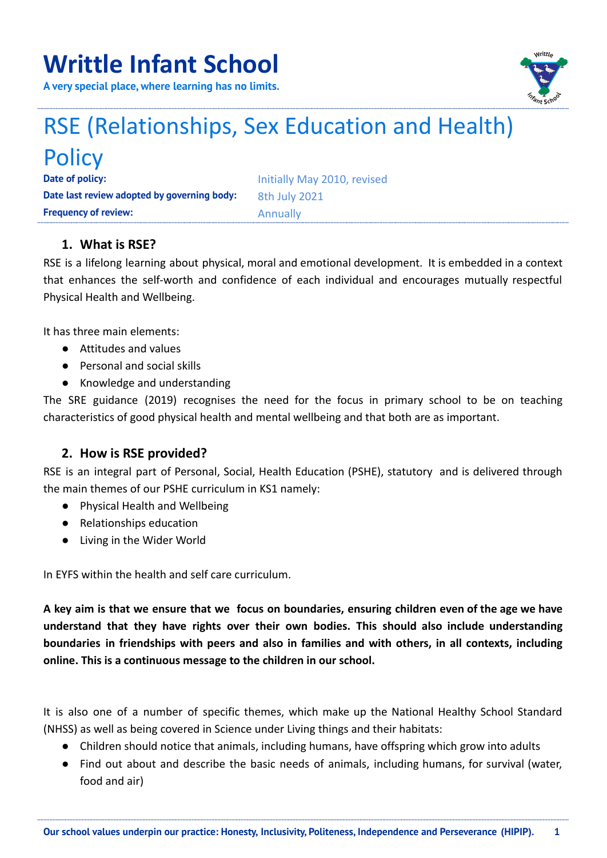# **Writtle Infant School**

**A very special place, where learning has no limits.**



# RSE (Relationships, Sex Education and Health) **Policy**

**Date of policy:** Initially May 2010, revised **Date last review adopted by governing body: 8th July 2021 Frequency of review:** Annually

# **1. What is RSE?**

RSE is a lifelong learning about physical, moral and emotional development. It is embedded in a context that enhances the self-worth and confidence of each individual and encourages mutually respectful Physical Health and Wellbeing.

It has three main elements:

- Attitudes and values
- Personal and social skills
- Knowledge and understanding

The SRE guidance (2019) recognises the need for the focus in primary school to be on teaching characteristics of good physical health and mental wellbeing and that both are as important.

# **2. How is RSE provided?**

RSE is an integral part of Personal, Social, Health Education (PSHE), statutory and is delivered through the main themes of our PSHE curriculum in KS1 namely:

- Physical Health and Wellbeing
- Relationships education
- Living in the Wider World

In EYFS within the health and self care curriculum.

A key aim is that we ensure that we focus on boundaries, ensuring children even of the age we have **understand that they have rights over their own bodies. This should also include understanding boundaries in friendships with peers and also in families and with others, in all contexts, including online. This is a continuous message to the children in our school.**

It is also one of a number of specific themes, which make up the National Healthy School Standard (NHSS) as well as being covered in Science under Living things and their habitats:

- Children should notice that animals, including humans, have offspring which grow into adults
- Find out about and describe the basic needs of animals, including humans, for survival (water, food and air)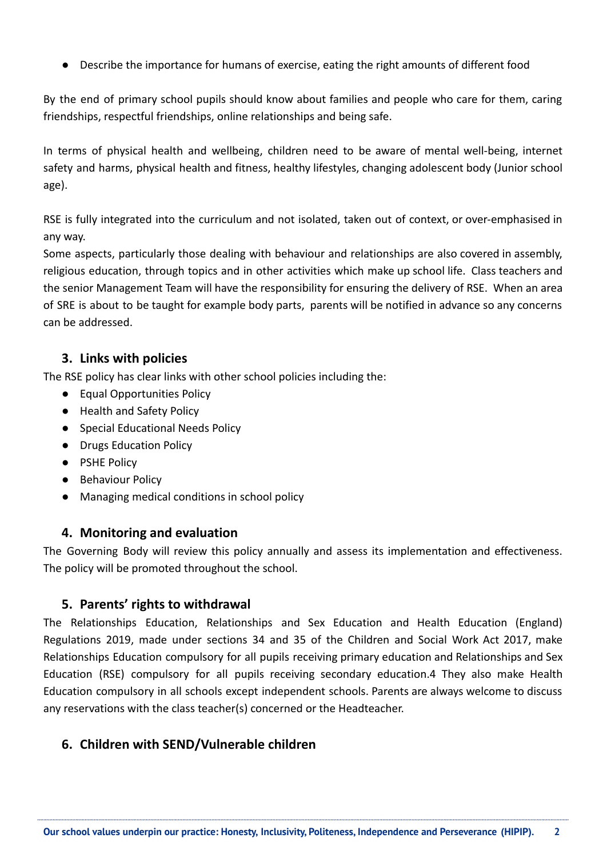● Describe the importance for humans of exercise, eating the right amounts of different food

By the end of primary school pupils should know about families and people who care for them, caring friendships, respectful friendships, online relationships and being safe.

In terms of physical health and wellbeing, children need to be aware of mental well-being, internet safety and harms, physical health and fitness, healthy lifestyles, changing adolescent body (Junior school age).

RSE is fully integrated into the curriculum and not isolated, taken out of context, or over-emphasised in any way.

Some aspects, particularly those dealing with behaviour and relationships are also covered in assembly, religious education, through topics and in other activities which make up school life. Class teachers and the senior Management Team will have the responsibility for ensuring the delivery of RSE. When an area of SRE is about to be taught for example body parts, parents will be notified in advance so any concerns can be addressed.

#### **3. Links with policies**

The RSE policy has clear links with other school policies including the:

- Equal Opportunities Policy
- Health and Safety Policy
- Special Educational Needs Policy
- Drugs Education Policy
- PSHE Policy
- Behaviour Policy
- Managing medical conditions in school policy

# **4. Monitoring and evaluation**

The Governing Body will review this policy annually and assess its implementation and effectiveness. The policy will be promoted throughout the school.

# **5. Parents' rights to withdrawal**

The Relationships Education, Relationships and Sex Education and Health Education (England) Regulations 2019, made under sections 34 and 35 of the Children and Social Work Act 2017, make Relationships Education compulsory for all pupils receiving primary education and Relationships and Sex Education (RSE) compulsory for all pupils receiving secondary education.4 They also make Health Education compulsory in all schools except independent schools. Parents are always welcome to discuss any reservations with the class teacher(s) concerned or the Headteacher.

# **6. Children with SEND/Vulnerable children**